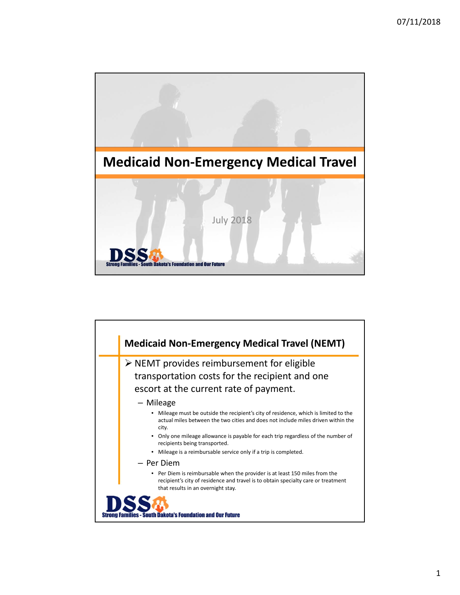

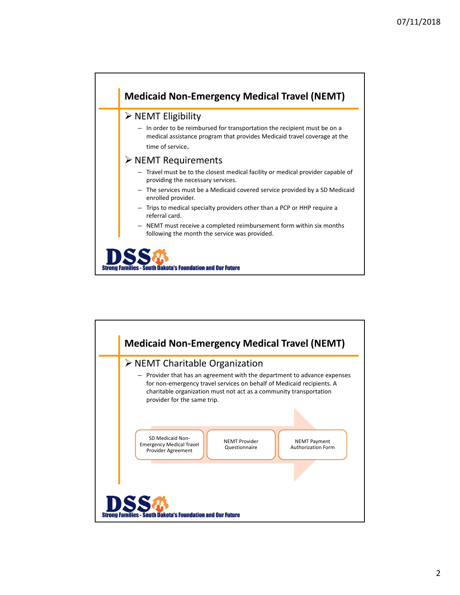

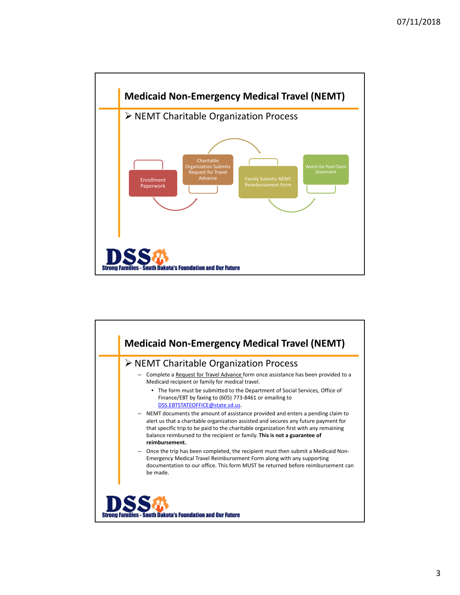

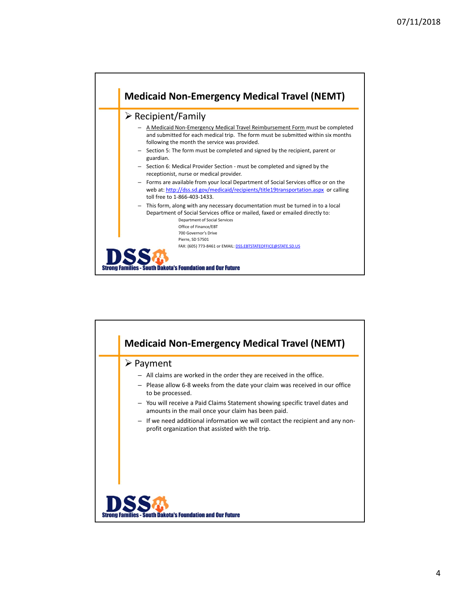